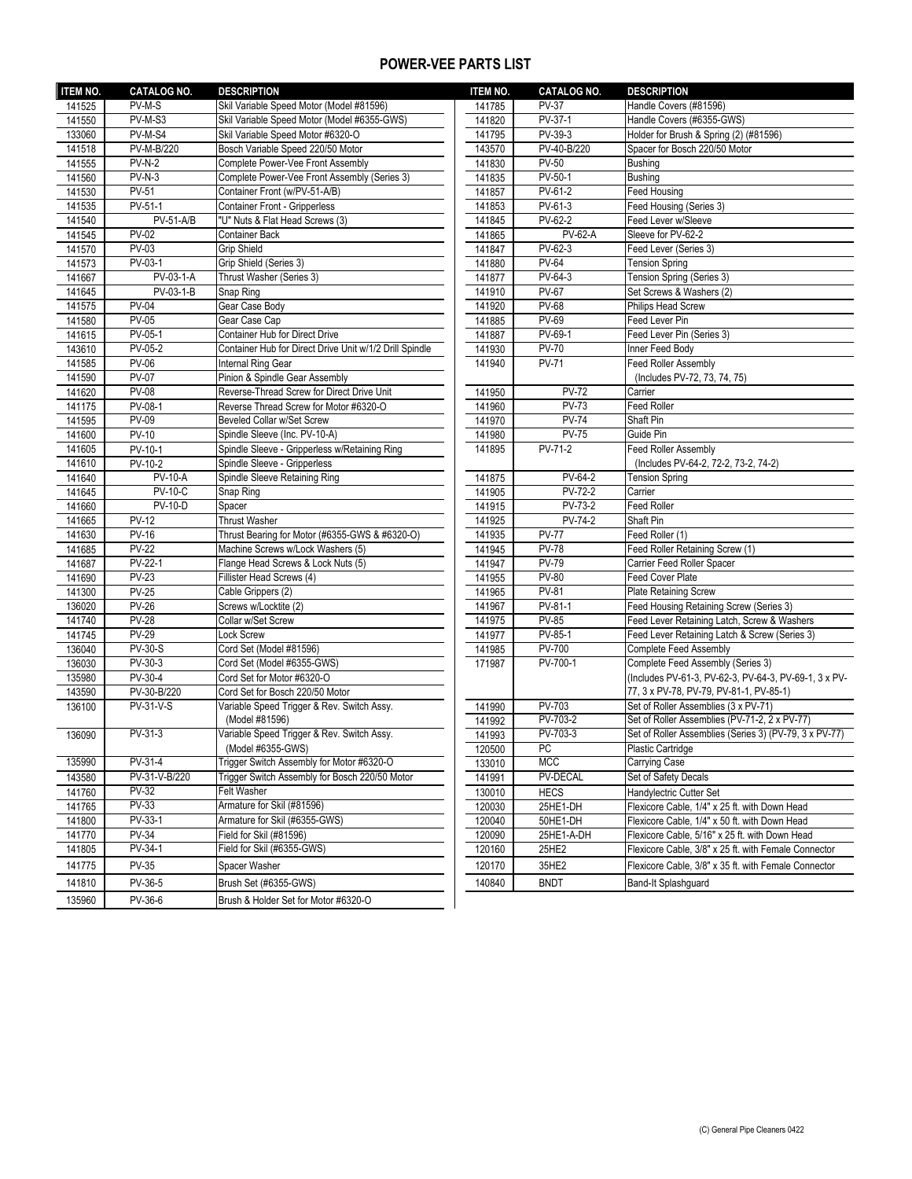## **POWER-VEE PARTS LIST**

| <b>ITEM NO.</b>  | <b>CATALOG NO.</b>           | <b>DESCRIPTION</b>                                                     | <b>ITEM NO.</b>  | <b>CATALOG NO.</b>             | <b>DESCRIPTION</b>                                    |
|------------------|------------------------------|------------------------------------------------------------------------|------------------|--------------------------------|-------------------------------------------------------|
| 141525           | PV-M-S                       | Skil Variable Speed Motor (Model #81596)                               | 141785           | <b>PV-37</b>                   | Handle Covers (#81596)                                |
| 141550           | PV-M-S3                      | Skil Variable Speed Motor (Model #6355-GWS)                            | 141820           | PV-37-1                        | Handle Covers (#6355-GWS)                             |
| 133060           | PV-M-S4                      | Skil Variable Speed Motor #6320-O                                      | 141795           | PV-39-3                        | Holder for Brush & Spring (2) (#81596)                |
| 141518           | PV-M-B/220                   | Bosch Variable Speed 220/50 Motor                                      | 143570           | PV-40-B/220                    | Spacer for Bosch 220/50 Motor                         |
| 141555           | $PV-N-2$                     | Complete Power-Vee Front Assembly                                      | 141830           | <b>PV-50</b>                   | <b>Bushing</b>                                        |
| 141560           | $PV-N-3$                     | Complete Power-Vee Front Assembly (Series 3)                           | 141835           | PV-50-1                        | <b>Bushing</b>                                        |
| 141530           | <b>PV-51</b>                 | Container Front (w/PV-51-A/B)                                          | 141857           | PV-61-2                        | Feed Housing                                          |
| 141535           | PV-51-1                      | <b>Container Front - Gripperless</b>                                   | 141853           | $PV-61-3$                      | Feed Housing (Series 3)                               |
| 141540           | <b>PV-51-A/B</b>             | "U" Nuts & Flat Head Screws (3)                                        | 141845           | PV-62-2                        | Feed Lever w/Sleeve                                   |
| 141545           | <b>PV-02</b>                 | <b>Container Back</b>                                                  | 141865           | <b>PV-62-A</b>                 | Sleeve for PV-62-2                                    |
| 141570           | <b>PV-03</b>                 | Grip Shield                                                            | 141847           | $PV-62-3$                      | Feed Lever (Series 3)                                 |
| 141573           | PV-03-1                      | Grip Shield (Series 3)                                                 | 141880           | <b>PV-64</b>                   | <b>Tension Spring</b>                                 |
| 141667           | PV-03-1-A                    | Thrust Washer (Series 3)                                               | 141877           | PV-64-3                        | Tension Spring (Series 3)                             |
| 141645           | PV-03-1-B                    | Snap Ring                                                              | 141910           | <b>PV-67</b>                   | Set Screws & Washers (2)                              |
| 141575           | <b>PV-04</b>                 | Gear Case Body                                                         | 141920           | <b>PV-68</b>                   | Philips Head Screw                                    |
| 141580           | $PV-05$                      | Gear Case Cap                                                          | 141885           | <b>PV-69</b>                   | Feed Lever Pin                                        |
| 141615           | PV-05-1                      | Container Hub for Direct Drive                                         | 141887           | PV-69-1                        | Feed Lever Pin (Series 3)                             |
| 143610           | PV-05-2                      | Container Hub for Direct Drive Unit w/1/2 Drill Spindle                | 141930           | <b>PV-70</b>                   | Inner Feed Body                                       |
| 141585           | <b>PV-06</b>                 | Internal Ring Gear                                                     | 141940           | <b>PV-71</b>                   | <b>Feed Roller Assembly</b>                           |
| 141590           | <b>PV-07</b>                 | Pinion & Spindle Gear Assembly                                         |                  |                                | (Includes PV-72, 73, 74, 75)                          |
| 141620           | <b>PV-08</b>                 | Reverse-Thread Screw for Direct Drive Unit                             | 141950           | <b>PV-72</b>                   | Carrier                                               |
| 141175           | PV-08-1                      | Reverse Thread Screw for Motor #6320-O                                 | 141960           | <b>PV-73</b>                   | <b>Feed Roller</b>                                    |
| 141595           | <b>PV-09</b>                 | Beveled Collar w/Set Screw                                             | 141970           | $PV-74$                        | Shaft Pin                                             |
| 141600           | <b>PV-10</b>                 | Spindle Sleeve (Inc. PV-10-A)                                          | 141980           | <b>PV-75</b>                   | Guide Pin                                             |
| 141605           | PV-10-1                      | Spindle Sleeve - Gripperless w/Retaining Ring                          | 141895           | PV-71-2                        | <b>Feed Roller Assembly</b>                           |
| 141610           | PV-10-2                      | Spindle Sleeve - Gripperless                                           |                  |                                | (Includes PV-64-2, 72-2, 73-2, 74-2)                  |
| 141640           | <b>PV-10-A</b>               | Spindle Sleeve Retaining Ring                                          | 141875           | PV-64-2                        | <b>Tension Spring</b>                                 |
| 141645           | $PV-10-C$                    | Snap Ring                                                              | 141905           | <b>PV-72-2</b>                 | Carrier                                               |
| 141660           | <b>PV-10-D</b>               | Spacer                                                                 | 141915           | PV-73-2                        | Feed Roller                                           |
| 141665           | <b>PV-12</b><br><b>PV-16</b> | <b>Thrust Washer</b><br>Thrust Bearing for Motor (#6355-GWS & #6320-O) | 141925           | <b>PV-74-2</b><br><b>PV-77</b> | Shaft Pin<br>Feed Roller (1)                          |
| 141630           | $PV-22$                      | Machine Screws w/Lock Washers (5)                                      | 141935           | <b>PV-78</b>                   | Feed Roller Retaining Screw (1)                       |
| 141685<br>141687 | $PV-22-1$                    | Flange Head Screws & Lock Nuts (5)                                     | 141945<br>141947 | <b>PV-79</b>                   | Carrier Feed Roller Spacer                            |
| 141690           | <b>PV-23</b>                 | Fillister Head Screws (4)                                              | 141955           | <b>PV-80</b>                   | Feed Cover Plate                                      |
| 141300           | <b>PV-25</b>                 | Cable Grippers (2)                                                     | 141965           | <b>PV-81</b>                   | Plate Retaining Screw                                 |
| 136020           | $PV-26$                      | Screws w/Locktite (2)                                                  | 141967           | PV-81-1                        | Feed Housing Retaining Screw (Series 3)               |
| 141740           | <b>PV-28</b>                 | Collar w/Set Screw                                                     | 141975           | <b>PV-85</b>                   | Feed Lever Retaining Latch, Screw & Washers           |
| 141745           | $PV-29$                      | Lock Screw                                                             | 141977           | PV-85-1                        | Feed Lever Retaining Latch & Screw (Series 3)         |
| 136040           | $PV-30-S$                    | Cord Set (Model #81596)                                                | 141985           | PV-700                         | <b>Complete Feed Assembly</b>                         |
| 136030           | $PV-30-3$                    | Cord Set (Model #6355-GWS)                                             | 171987           | PV-700-1                       | Complete Feed Assembly (Series 3)                     |
| 135980           | PV-30-4                      | Cord Set for Motor #6320-O                                             |                  |                                | (Includes PV-61-3, PV-62-3, PV-64-3, PV-69-1, 3 x PV  |
| 143590           | PV-30-B/220                  | Cord Set for Bosch 220/50 Motor                                        |                  |                                | 77, 3 x PV-78, PV-79, PV-81-1, PV-85-1)               |
| 136100           | <b>PV-31-V-S</b>             | Variable Speed Trigger & Rev. Switch Assy.                             | 141990           | PV-703                         | Set of Roller Assemblies (3 x PV-71)                  |
|                  |                              | (Model #81596)                                                         | 141992           | PV-703-2                       | Set of Roller Assemblies (PV-71-2, 2 x PV-77)         |
| 136090           | $PV-31-3$                    | Variable Speed Trigger & Rev. Switch Assy.                             | 141993           | PV-703-3                       | Set of Roller Assemblies (Series 3) (PV-79, 3 x PV-77 |
|                  |                              | (Model #6355-GWS)                                                      | 120500           | <b>PC</b>                      | Plastic Cartridge                                     |
| 135990           | $PV-31-4$                    | Trigger Switch Assembly for Motor #6320-O                              | 133010           | <b>MCC</b>                     | Carrying Case                                         |
| 143580           | PV-31-V-B/220                | Trigger Switch Assembly for Bosch 220/50 Motor                         | 141991           | <b>PV-DECAL</b>                | Set of Safety Decals                                  |
| 141760           | <b>PV-32</b>                 | Felt Washer                                                            | 130010           | <b>HECS</b>                    | Handylectric Cutter Set                               |
| 141765           | <b>PV-33</b>                 | Armature for Skil (#81596)                                             | 120030           | 25HE1-DH                       | Flexicore Cable, 1/4" x 25 ft. with Down Head         |
| 141800           | PV-33-1                      | Armature for Skil (#6355-GWS)                                          | 120040           | 50HE1-DH                       | Flexicore Cable, 1/4" x 50 ft. with Down Head         |
| 141770           | <b>PV-34</b>                 | Field for Skil (#81596)                                                | 120090           | 25HE1-A-DH                     | Flexicore Cable, 5/16" x 25 ft. with Down Head        |
| 141805           | PV-34-1                      | Field for Skil (#6355-GWS)                                             | 120160           | 25HE2                          | Flexicore Cable, 3/8" x 25 ft. with Female Connector  |
| 141775           | <b>PV-35</b>                 | Spacer Washer                                                          | 120170           | 35HE2                          | Flexicore Cable, 3/8" x 35 ft. with Female Connector  |
| 141810           | PV-36-5                      | Brush Set (#6355-GWS)                                                  | 140840           | <b>BNDT</b>                    | Band-It Splashguard                                   |
|                  |                              |                                                                        |                  |                                |                                                       |
| 135960           | PV-36-6                      | Brush & Holder Set for Motor #6320-O                                   |                  |                                |                                                       |

| <b>DESCRIPTION</b>                                      | <b>ITEM NO.</b> | <b>CATALOG NO.</b> | <b>DESCRIPTION</b>                                     |
|---------------------------------------------------------|-----------------|--------------------|--------------------------------------------------------|
| Skil Variable Speed Motor (Model #81596)                | 141785          | <b>PV-37</b>       | Handle Covers (#81596)                                 |
| Skil Variable Speed Motor (Model #6355-GWS)             | 141820          | $PV-37-1$          | Handle Covers (#6355-GWS)                              |
| Skil Variable Speed Motor #6320-O                       | 141795          | PV-39-3            | Holder for Brush & Spring (2) (#81596)                 |
| Bosch Variable Speed 220/50 Motor                       | 143570          | PV-40-B/220        | Spacer for Bosch 220/50 Motor                          |
| Complete Power-Vee Front Assembly                       | 141830          | <b>PV-50</b>       | <b>Bushing</b>                                         |
| Complete Power-Vee Front Assembly (Series 3)            | 141835          | PV-50-1            | <b>Bushing</b>                                         |
| Container Front (w/PV-51-A/B)                           | 141857          | PV-61-2            | Feed Housing                                           |
| <b>Container Front - Gripperless</b>                    | 141853          | PV-61-3            | Feed Housing (Series 3)                                |
| "U" Nuts & Flat Head Screws (3)                         | 141845          | PV-62-2            | Feed Lever w/Sleeve                                    |
| <b>Container Back</b>                                   | 141865          | <b>PV-62-A</b>     | Sleeve for PV-62-2                                     |
| <b>Grip Shield</b>                                      | 141847          | PV-62-3            | Feed Lever (Series 3)                                  |
| Grip Shield (Series 3)                                  | 141880          | <b>PV-64</b>       | <b>Tension Spring</b>                                  |
| Thrust Washer (Series 3)                                | 141877          | PV-64-3            | Tension Spring (Series 3)                              |
| Snap Ring                                               | 141910          | <b>PV-67</b>       | Set Screws & Washers (2)                               |
| Gear Case Body                                          | 141920          | <b>PV-68</b>       | <b>Philips Head Screw</b>                              |
| Gear Case Cap                                           | 141885          | <b>PV-69</b>       | Feed Lever Pin                                         |
| <b>Container Hub for Direct Drive</b>                   | 141887          | PV-69-1            | Feed Lever Pin (Series 3)                              |
| Container Hub for Direct Drive Unit w/1/2 Drill Spindle | 141930          | <b>PV-70</b>       | Inner Feed Body                                        |
| Internal Ring Gear                                      | 141940          | <b>PV-71</b>       | <b>Feed Roller Assembly</b>                            |
| Pinion & Spindle Gear Assembly                          |                 |                    | (Includes PV-72, 73, 74, 75)                           |
| Reverse-Thread Screw for Direct Drive Unit              | 141950          | $PV-72$            | Carrier                                                |
| Reverse Thread Screw for Motor #6320-O                  | 141960          | <b>PV-73</b>       | <b>Feed Roller</b>                                     |
| <b>Beveled Collar w/Set Screw</b>                       | 141970          | <b>PV-74</b>       | Shaft Pin                                              |
| Spindle Sleeve (Inc. PV-10-A)                           | 141980          | <b>PV-75</b>       | Guide Pin                                              |
| Spindle Sleeve - Gripperless w/Retaining Ring           | 141895          | PV-71-2            | <b>Feed Roller Assembly</b>                            |
| Spindle Sleeve - Gripperless                            |                 |                    | (Includes PV-64-2, 72-2, 73-2, 74-2)                   |
| Spindle Sleeve Retaining Ring                           | 141875          | PV-64-2            | <b>Tension Spring</b>                                  |
| Snap Ring                                               | 141905          | PV-72-2            | Carrier                                                |
| Spacer                                                  | 141915          | PV-73-2            | <b>Feed Roller</b>                                     |
| <b>Thrust Washer</b>                                    | 141925          | PV-74-2            | Shaft Pin                                              |
| Thrust Bearing for Motor (#6355-GWS & #6320-O)          | 141935          | <b>PV-77</b>       | Feed Roller (1)                                        |
| Machine Screws w/Lock Washers (5)                       | 141945          | <b>PV-78</b>       | Feed Roller Retaining Screw (1)                        |
| Flange Head Screws & Lock Nuts (5)                      | 141947          | <b>PV-79</b>       | Carrier Feed Roller Spacer                             |
| Fillister Head Screws (4)                               | 141955          | <b>PV-80</b>       | <b>Feed Cover Plate</b>                                |
| Cable Grippers (2)                                      | 141965          | <b>PV-81</b>       | <b>Plate Retaining Screw</b>                           |
| Screws w/Locktite (2)                                   | 141967          | PV-81-1            | Feed Housing Retaining Screw (Series 3)                |
| Collar w/Set Screw                                      | 141975          | <b>PV-85</b>       | Feed Lever Retaining Latch, Screw & Washers            |
| Lock Screw                                              | 141977          | PV-85-1            | Feed Lever Retaining Latch & Screw (Series 3)          |
| Cord Set (Model #81596)                                 | 141985          | <b>PV-700</b>      | Complete Feed Assembly                                 |
| Cord Set (Model #6355-GWS)                              | 171987          | PV-700-1           | Complete Feed Assembly (Series 3)                      |
| Cord Set for Motor #6320-O                              |                 |                    | (Includes PV-61-3, PV-62-3, PV-64-3, PV-69-1, 3 x PV-  |
| Cord Set for Bosch 220/50 Motor                         |                 |                    | 77, 3 x PV-78, PV-79, PV-81-1, PV-85-1)                |
| Variable Speed Trigger & Rev. Switch Assy.              | 141990          | PV-703             | Set of Roller Assemblies (3 x PV-71)                   |
| (Model #81596)                                          | 141992          | PV-703-2           | Set of Roller Assemblies (PV-71-2, 2 x PV-77)          |
| Variable Speed Trigger & Rev. Switch Assy.              | 141993          | PV-703-3           | Set of Roller Assemblies (Series 3) (PV-79, 3 x PV-77) |
| (Model #6355-GWS)                                       | 120500          | PU.                | Plastic Cartridge                                      |
| Trigger Switch Assembly for Motor #6320-O               | 133010          | <b>MCC</b>         | Carrying Case                                          |
| Trigger Switch Assembly for Bosch 220/50 Motor          | 141991          | <b>PV-DECAL</b>    | Set of Safety Decals                                   |
| Felt Washer                                             | 130010          | <b>HECS</b>        | Handylectric Cutter Set                                |
| Armature for Skil (#81596)                              | 120030          | 25HE1-DH           | Flexicore Cable, 1/4" x 25 ft. with Down Head          |
| Armature for Skil (#6355-GWS)                           | 120040          | 50HE1-DH           | Flexicore Cable, 1/4" x 50 ft. with Down Head          |
| Field for Skil (#81596)                                 | 120090          | 25HE1-A-DH         | Flexicore Cable, 5/16" x 25 ft. with Down Head         |
| Field for Skil (#6355-GWS)                              | 120160          | 25HE2              | Flexicore Cable, 3/8" x 25 ft. with Female Connector   |
| Spacer Washer                                           | 120170          | 35HE2              | Flexicore Cable, 3/8" x 35 ft. with Female Connector   |
| Brush Set (#6355-GWS)                                   | 140840          | <b>BNDT</b>        | Band-It Splashguard                                    |
|                                                         |                 |                    |                                                        |